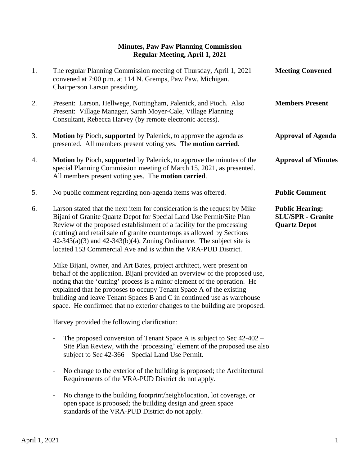## **Minutes, Paw Paw Planning Commission Regular Meeting, April 1, 2021**

| 1. | The regular Planning Commission meeting of Thursday, April 1, 2021<br>convened at 7:00 p.m. at 114 N. Gremps, Paw Paw, Michigan.<br>Chairperson Larson presiding.                                                                                                                                                                                                                                                                                                                                                                                                                                                                                                                         | <b>Meeting Convened</b>                                                   |
|----|-------------------------------------------------------------------------------------------------------------------------------------------------------------------------------------------------------------------------------------------------------------------------------------------------------------------------------------------------------------------------------------------------------------------------------------------------------------------------------------------------------------------------------------------------------------------------------------------------------------------------------------------------------------------------------------------|---------------------------------------------------------------------------|
| 2. | Present: Larson, Hellwege, Nottingham, Palenick, and Pioch. Also<br>Present: Village Manager, Sarah Moyer-Cale, Village Planning<br>Consultant, Rebecca Harvey (by remote electronic access).                                                                                                                                                                                                                                                                                                                                                                                                                                                                                             | <b>Members Present</b>                                                    |
| 3. | <b>Motion</b> by Pioch, supported by Palenick, to approve the agenda as<br>presented. All members present voting yes. The motion carried.                                                                                                                                                                                                                                                                                                                                                                                                                                                                                                                                                 | <b>Approval of Agenda</b>                                                 |
| 4. | <b>Motion</b> by Pioch, supported by Palenick, to approve the minutes of the<br>special Planning Commission meeting of March 15, 2021, as presented.<br>All members present voting yes. The <b>motion carried</b> .                                                                                                                                                                                                                                                                                                                                                                                                                                                                       | <b>Approval of Minutes</b>                                                |
| 5. | No public comment regarding non-agenda items was offered.                                                                                                                                                                                                                                                                                                                                                                                                                                                                                                                                                                                                                                 | <b>Public Comment</b>                                                     |
| 6. | Larson stated that the next item for consideration is the request by Mike<br>Bijani of Granite Quartz Depot for Special Land Use Permit/Site Plan<br>Review of the proposed establishment of a facility for the processing<br>(cutting) and retail sale of granite countertops as allowed by Sections<br>$42-343(a)(3)$ and $42-343(b)(4)$ , Zoning Ordinance. The subject site is<br>located 153 Commercial Ave and is within the VRA-PUD District.<br>Mike Bijani, owner, and Art Bates, project architect, were present on<br>behalf of the application. Bijani provided an overview of the proposed use,<br>noting that the 'cutting' process is a minor element of the operation. He | <b>Public Hearing:</b><br><b>SLU/SPR - Granite</b><br><b>Quartz Depot</b> |
|    | explained that he proposes to occupy Tenant Space A of the existing                                                                                                                                                                                                                                                                                                                                                                                                                                                                                                                                                                                                                       |                                                                           |

Harvey provided the following clarification:

- The proposed conversion of Tenant Space A is subject to Sec 42-402 – Site Plan Review, with the 'processing' element of the proposed use also subject to Sec 42-366 – Special Land Use Permit.

 building and leave Tenant Spaces B and C in continued use as warehouse space. He confirmed that no exterior changes to the building are proposed.

- No change to the exterior of the building is proposed; the Architectural Requirements of the VRA-PUD District do not apply.
- No change to the building footprint/height/location, lot coverage, or open space is proposed; the building design and green space standards of the VRA-PUD District do not apply.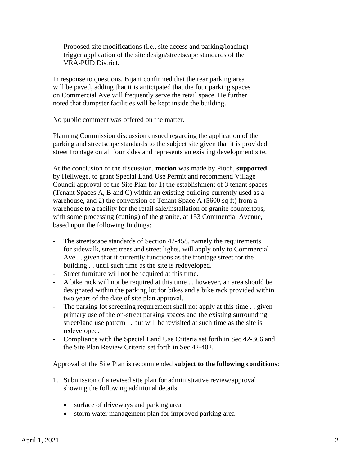Proposed site modifications (i.e., site access and parking/loading) trigger application of the site design/streetscape standards of the VRA-PUD District.

 In response to questions, Bijani confirmed that the rear parking area will be paved, adding that it is anticipated that the four parking spaces on Commercial Ave will frequently serve the retail space. He further noted that dumpster facilities will be kept inside the building.

No public comment was offered on the matter.

 Planning Commission discussion ensued regarding the application of the parking and streetscape standards to the subject site given that it is provided street frontage on all four sides and represents an existing development site.

 At the conclusion of the discussion, **motion** was made by Pioch, **supported** by Hellwege, to grant Special Land Use Permit and recommend Village Council approval of the Site Plan for 1) the establishment of 3 tenant spaces (Tenant Spaces A, B and C) within an existing building currently used as a warehouse, and 2) the conversion of Tenant Space A (5600 sq ft) from a warehouse to a facility for the retail sale/installation of granite countertops, with some processing (cutting) of the granite, at 153 Commercial Avenue, based upon the following findings:

- The streetscape standards of Section 42-458, namely the requirements for sidewalk, street trees and street lights, will apply only to Commercial Ave . . given that it currently functions as the frontage street for the building . . until such time as the site is redeveloped.
- Street furniture will not be required at this time.
- A bike rack will not be required at this time . . however, an area should be designated within the parking lot for bikes and a bike rack provided within two years of the date of site plan approval.
- The parking lot screening requirement shall not apply at this time . . given primary use of the on-street parking spaces and the existing surrounding street/land use pattern . . but will be revisited at such time as the site is redeveloped.
- Compliance with the Special Land Use Criteria set forth in Sec 42-366 and the Site Plan Review Criteria set forth in Sec 42-402.

Approval of the Site Plan is recommended **subject to the following conditions**:

- 1. Submission of a revised site plan for administrative review/approval showing the following additional details:
	- surface of driveways and parking area
	- storm water management plan for improved parking area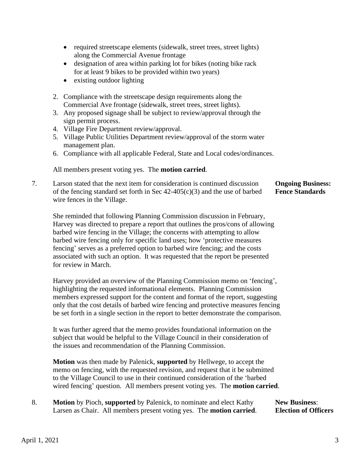- required streetscape elements (sidewalk, street trees, street lights) along the Commercial Avenue frontage
- designation of area within parking lot for bikes (noting bike rack for at least 9 bikes to be provided within two years)
- existing outdoor lighting
- 2. Compliance with the streetscape design requirements along the Commercial Ave frontage (sidewalk, street trees, street lights).
- 3. Any proposed signage shall be subject to review/approval through the sign permit process.
- 4. Village Fire Department review/approval.
- 5. Village Public Utilities Department review/approval of the storm water management plan.
- 6. Compliance with all applicable Federal, State and Local codes/ordinances.

All members present voting yes. The **motion carried**.

7. Larson stated that the next item for consideration is continued discussion **Ongoing Business:** of the fencing standard set forth in Sec 42-405(c)(3) and the use of barbed **Fence Standards** wire fences in the Village.

 She reminded that following Planning Commission discussion in February, Harvey was directed to prepare a report that outlines the pros/cons of allowing barbed wire fencing in the Village; the concerns with attempting to allow barbed wire fencing only for specific land uses; how 'protective measures fencing' serves as a preferred option to barbed wire fencing; and the costs associated with such an option. It was requested that the report be presented for review in March.

Harvey provided an overview of the Planning Commission memo on 'fencing', highlighting the requested informational elements. Planning Commission members expressed support for the content and format of the report, suggesting only that the cost details of barbed wire fencing and protective measures fencing be set forth in a single section in the report to better demonstrate the comparison.

It was further agreed that the memo provides foundational information on the subject that would be helpful to the Village Council in their consideration of the issues and recommendation of the Planning Commission.

**Motion** was then made by Palenick, **supported** by Hellwege, to accept the memo on fencing, with the requested revision, and request that it be submitted to the Village Council to use in their continued consideration of the 'barbed wired fencing' question. All members present voting yes. The **motion carried**.

8. **Motion** by Pioch, supported by Palenick, to nominate and elect Kathy **New Business**: Larsen as Chair. All members present voting yes. The **motion carried**. **Election of Officers**